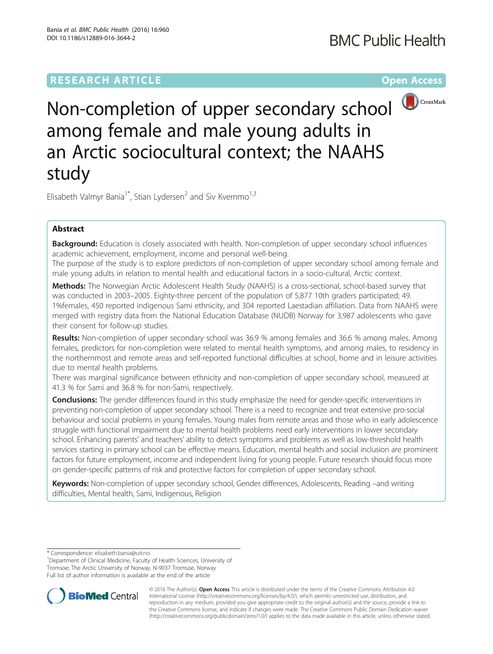# **RESEARCH ARTICLE Example 2014 12:30 The Contract of Contract ACCESS**



Non-completion of upper secondary school among female and male young adults in an Arctic sociocultural context; the NAAHS study

Elisabeth Valmyr Bania<sup>1\*</sup>, Stian Lydersen<sup>2</sup> and Siv Kvernmo<sup>1,3</sup>

## Abstract

Background: Education is closely associated with health. Non-completion of upper secondary school influences academic achievement, employment, income and personal well-being.

The purpose of the study is to explore predictors of non-completion of upper secondary school among female and male young adults in relation to mental health and educational factors in a socio-cultural, Arctic context.

Methods: The Norwegian Arctic Adolescent Health Study (NAAHS) is a cross-sectional, school-based survey that was conducted in 2003–2005. Eighty-three percent of the population of 5,877 10th graders participated; 49. 1%females, 450 reported indigenous Sami ethnicity, and 304 reported Laestadian affiliation. Data from NAAHS were merged with registry data from the National Education Database (NUDB) Norway for 3,987 adolescents who gave their consent for follow-up studies.

Results: Non-completion of upper secondary school was 36.9 % among females and 36.6 % among males. Among females, predictors for non-completion were related to mental health symptoms, and among males, to residency in the northernmost and remote areas and self-reported functional difficulties at school, home and in leisure activities due to mental health problems.

There was marginal significance between ethnicity and non-completion of upper secondary school, measured at 41.3 % for Sami and 36.8 % for non-Sami, respectively.

**Conclusions:** The gender differences found in this study emphasize the need for gender-specific interventions in preventing non-completion of upper secondary school. There is a need to recognize and treat extensive pro-social behaviour and social problems in young females. Young males from remote areas and those who in early adolescence struggle with functional impairment due to mental health problems need early interventions in lower secondary school. Enhancing parents' and teachers' ability to detect symptoms and problems as well as low-threshold health services starting in primary school can be effective means. Education, mental health and social inclusion are prominent factors for future employment, income and independent living for young people. Future research should focus more on gender-specific patterns of risk and protective factors for completion of upper secondary school.

Keywords: Non-completion of upper secondary school, Gender differences, Adolescents, Reading –and writing difficulties, Mental health, Sami, Indigenous, Religion

\* Correspondence: [elisabeth.bania@uit.no](mailto:elisabeth.bania@uit.no) <sup>1</sup>

<sup>1</sup>Department of Clinical Medicine, Faculty of Health Sciences, University of Tromsoe; The Arctic University of Norway, N-9037 Tromsoe, Norway Full list of author information is available at the end of the article



© 2016 The Author(s). Open Access This article is distributed under the terms of the Creative Commons Attribution 4.0 International License [\(http://creativecommons.org/licenses/by/4.0/](http://creativecommons.org/licenses/by/4.0/)), which permits unrestricted use, distribution, and reproduction in any medium, provided you give appropriate credit to the original author(s) and the source, provide a link to the Creative Commons license, and indicate if changes were made. The Creative Commons Public Domain Dedication waiver [\(http://creativecommons.org/publicdomain/zero/1.0/](http://creativecommons.org/publicdomain/zero/1.0/)) applies to the data made available in this article, unless otherwise stated.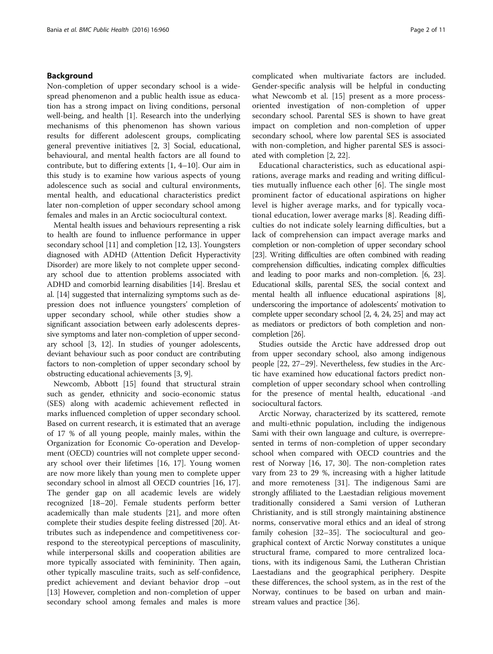## Background

Non-completion of upper secondary school is a widespread phenomenon and a public health issue as education has a strong impact on living conditions, personal well-being, and health [[1\]](#page-9-0). Research into the underlying mechanisms of this phenomenon has shown various results for different adolescent groups, complicating general preventive initiatives [\[2](#page-9-0), [3](#page-9-0)] Social, educational, behavioural, and mental health factors are all found to contribute, but to differing extents [\[1](#page-9-0), [4](#page-9-0)–[10](#page-9-0)]. Our aim in this study is to examine how various aspects of young adolescence such as social and cultural environments, mental health, and educational characteristics predict later non-completion of upper secondary school among females and males in an Arctic sociocultural context.

Mental health issues and behaviours representing a risk to health are found to influence performance in upper secondary school [[11](#page-9-0)] and completion [\[12, 13](#page-9-0)]. Youngsters diagnosed with ADHD (Attention Deficit Hyperactivity Disorder) are more likely to not complete upper secondary school due to attention problems associated with ADHD and comorbid learning disabilities [\[14\]](#page-9-0). Breslau et al. [[14](#page-9-0)] suggested that internalizing symptoms such as depression does not influence youngsters' completion of upper secondary school, while other studies show a significant association between early adolescents depressive symptoms and later non-completion of upper secondary school [\[3](#page-9-0), [12\]](#page-9-0). In studies of younger adolescents, deviant behaviour such as poor conduct are contributing factors to non-completion of upper secondary school by obstructing educational achievements [\[3, 9](#page-9-0)].

Newcomb, Abbott [[15\]](#page-9-0) found that structural strain such as gender, ethnicity and socio-economic status (SES) along with academic achievement reflected in marks influenced completion of upper secondary school. Based on current research, it is estimated that an average of 17 % of all young people, mainly males, within the Organization for Economic Co-operation and Development (OECD) countries will not complete upper secondary school over their lifetimes [[16, 17](#page-9-0)]. Young women are now more likely than young men to complete upper secondary school in almost all OECD countries [\[16, 17](#page-9-0)]. The gender gap on all academic levels are widely recognized [\[18](#page-9-0)–[20\]](#page-9-0). Female students perform better academically than male students [\[21](#page-9-0)], and more often complete their studies despite feeling distressed [[20\]](#page-9-0). Attributes such as independence and competitiveness correspond to the stereotypical perceptions of masculinity, while interpersonal skills and cooperation abilities are more typically associated with femininity. Then again, other typically masculine traits, such as self-confidence, predict achievement and deviant behavior drop –out [[13\]](#page-9-0) However, completion and non-completion of upper secondary school among females and males is more complicated when multivariate factors are included. Gender-specific analysis will be helpful in conducting what Newcomb et al. [\[15](#page-9-0)] present as a more processoriented investigation of non-completion of upper secondary school. Parental SES is shown to have great impact on completion and non-completion of upper secondary school, where low parental SES is associated with non-completion, and higher parental SES is associated with completion [[2, 22\]](#page-9-0).

Educational characteristics, such as educational aspirations, average marks and reading and writing difficulties mutually influence each other [\[6](#page-9-0)]. The single most prominent factor of educational aspirations on higher level is higher average marks, and for typically vocational education, lower average marks [[8\]](#page-9-0). Reading difficulties do not indicate solely learning difficulties, but a lack of comprehension can impact average marks and completion or non-completion of upper secondary school [[23](#page-9-0)]. Writing difficulties are often combined with reading comprehension difficulties, indicating complex difficulties and leading to poor marks and non-completion. [[6](#page-9-0), [23](#page-9-0)]. Educational skills, parental SES, the social context and mental health all influence educational aspirations [[8](#page-9-0)], underscoring the importance of adolescents' motivation to complete upper secondary school [\[2, 4](#page-9-0), [24](#page-9-0), [25\]](#page-9-0) and may act as mediators or predictors of both completion and noncompletion [[26\]](#page-9-0).

Studies outside the Arctic have addressed drop out from upper secondary school, also among indigenous people [[22, 27](#page-9-0)–[29\]](#page-9-0). Nevertheless, few studies in the Arctic have examined how educational factors predict noncompletion of upper secondary school when controlling for the presence of mental health, educational -and sociocultural factors.

Arctic Norway, characterized by its scattered, remote and multi-ethnic population, including the indigenous Sami with their own language and culture, is overrepresented in terms of non-completion of upper secondary school when compared with OECD countries and the rest of Norway [\[16, 17](#page-9-0), [30\]](#page-9-0). The non-completion rates vary from 23 to 29 %, increasing with a higher latitude and more remoteness [[31](#page-9-0)]. The indigenous Sami are strongly affiliated to the Laestadian religious movement traditionally considered a Sami version of Lutheran Christianity, and is still strongly maintaining abstinence norms, conservative moral ethics and an ideal of strong family cohesion [\[32](#page-9-0)–[35\]](#page-9-0). The sociocultural and geographical context of Arctic Norway constitutes a unique structural frame, compared to more centralized locations, with its indigenous Sami, the Lutheran Christian Laestadians and the geographical periphery. Despite these differences, the school system, as in the rest of the Norway, continues to be based on urban and mainstream values and practice [\[36](#page-9-0)].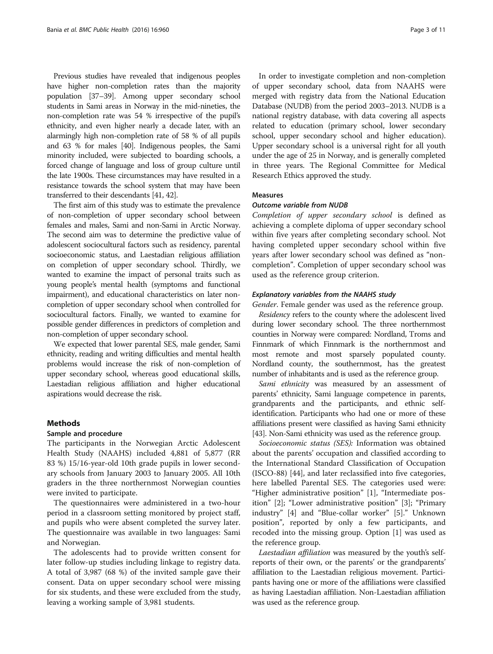Previous studies have revealed that indigenous peoples have higher non-completion rates than the majority population [\[37](#page-9-0)–[39\]](#page-9-0). Among upper secondary school students in Sami areas in Norway in the mid-nineties, the non-completion rate was 54 % irrespective of the pupil's ethnicity, and even higher nearly a decade later, with an alarmingly high non-completion rate of 58 % of all pupils and 63 % for males [\[40\]](#page-10-0). Indigenous peoples, the Sami minority included, were subjected to boarding schools, a forced change of language and loss of group culture until the late 1900s. These circumstances may have resulted in a resistance towards the school system that may have been transferred to their descendants [[41, 42](#page-10-0)].

The first aim of this study was to estimate the prevalence of non-completion of upper secondary school between females and males, Sami and non-Sami in Arctic Norway. The second aim was to determine the predictive value of adolescent sociocultural factors such as residency, parental socioeconomic status, and Laestadian religious affiliation on completion of upper secondary school. Thirdly, we wanted to examine the impact of personal traits such as young people's mental health (symptoms and functional impairment), and educational characteristics on later noncompletion of upper secondary school when controlled for sociocultural factors. Finally, we wanted to examine for possible gender differences in predictors of completion and non-completion of upper secondary school.

We expected that lower parental SES, male gender, Sami ethnicity, reading and writing difficulties and mental health problems would increase the risk of non-completion of upper secondary school, whereas good educational skills, Laestadian religious affiliation and higher educational aspirations would decrease the risk.

## **Methods**

#### Sample and procedure

The participants in the Norwegian Arctic Adolescent Health Study (NAAHS) included 4,881 of 5,877 (RR 83 %) 15/16-year-old 10th grade pupils in lower secondary schools from January 2003 to January 2005. All 10th graders in the three northernmost Norwegian counties were invited to participate.

The questionnaires were administered in a two-hour period in a classroom setting monitored by project staff, and pupils who were absent completed the survey later. The questionnaire was available in two languages: Sami and Norwegian.

The adolescents had to provide written consent for later follow-up studies including linkage to registry data. A total of 3,987 (68 %) of the invited sample gave their consent. Data on upper secondary school were missing for six students, and these were excluded from the study, leaving a working sample of 3,981 students.

In order to investigate completion and non-completion of upper secondary school, data from NAAHS were merged with registry data from the National Education Database (NUDB) from the period 2003–2013. NUDB is a national registry database, with data covering all aspects related to education (primary school, lower secondary school, upper secondary school and higher education). Upper secondary school is a universal right for all youth under the age of 25 in Norway, and is generally completed in three years. The Regional Committee for Medical Research Ethics approved the study.

#### Measures

## Outcome variable from NUDB

Completion of upper secondary school is defined as achieving a complete diploma of upper secondary school within five years after completing secondary school. Not having completed upper secondary school within five years after lower secondary school was defined as "noncompletion". Completion of upper secondary school was used as the reference group criterion.

### Explanatory variables from the NAAHS study

Gender. Female gender was used as the reference group.

Residency refers to the county where the adolescent lived during lower secondary school. The three northernmost counties in Norway were compared: Nordland, Troms and Finnmark of which Finnmark is the northernmost and most remote and most sparsely populated county. Nordland county, the southernmost, has the greatest number of inhabitants and is used as the reference group.

Sami ethnicity was measured by an assessment of parents' ethnicity, Sami language competence in parents, grandparents and the participants, and ethnic selfidentification. Participants who had one or more of these affiliations present were classified as having Sami ethnicity [[43](#page-10-0)]. Non-Sami ethnicity was used as the reference group.

Socioeconomic status (SES): Information was obtained about the parents' occupation and classified according to the International Standard Classification of Occupation (ISCO-88) [\[44](#page-10-0)], and later reclassified into five categories, here labelled Parental SES. The categories used were: "Higher administrative position" [[1](#page-9-0)], "Intermediate position" [\[2](#page-9-0)]; "Lower administrative position" [\[3](#page-9-0)]; "Primary industry" [[4](#page-9-0)] and "Blue-collar worker" [[5\]](#page-9-0)." Unknown position", reported by only a few participants, and recoded into the missing group. Option [[1](#page-9-0)] was used as the reference group.

Laestadian affiliation was measured by the youth's selfreports of their own, or the parents' or the grandparents' affiliation to the Laestadian religious movement. Participants having one or more of the affiliations were classified as having Laestadian affiliation. Non-Laestadian affiliation was used as the reference group.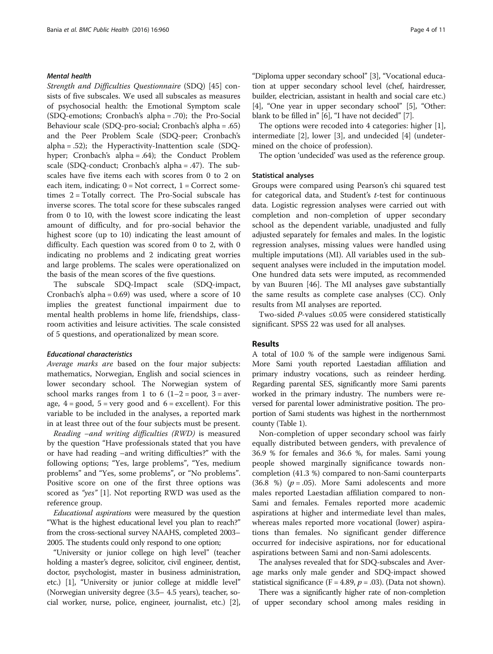## Mental health

Strength and Difficulties Questionnaire (SDQ) [\[45](#page-10-0)] consists of five subscales. We used all subscales as measures of psychosocial health: the Emotional Symptom scale (SDQ-emotions; Cronbach's alpha = .70); the Pro-Social Behaviour scale (SDQ-pro-social; Cronbach's alpha = .65) and the Peer Problem Scale (SDQ-peer; Cronbach's alpha = .52); the Hyperactivity-Inattention scale (SDQhyper; Cronbach's alpha = .64); the Conduct Problem scale (SDQ-conduct; Cronbach's alpha = .47). The subscales have five items each with scores from 0 to 2 on each item, indicating;  $0 = Not$  correct,  $1 = Correct$  sometimes  $2 = \text{Totally correct}$ . The Pro-Social subscale has inverse scores. The total score for these subscales ranged from 0 to 10, with the lowest score indicating the least amount of difficulty, and for pro-social behavior the highest score (up to 10) indicating the least amount of difficulty. Each question was scored from 0 to 2, with 0 indicating no problems and 2 indicating great worries and large problems. The scales were operationalized on the basis of the mean scores of the five questions.

The subscale SDQ-Impact scale (SDQ-impact, Cronbach's alpha = 0.69) was used, where a score of 10 implies the greatest functional impairment due to mental health problems in home life, friendships, classroom activities and leisure activities. The scale consisted of 5 questions, and operationalized by mean score.

## Educational characteristics

Average marks are based on the four major subjects: mathematics, Norwegian, English and social sciences in lower secondary school. The Norwegian system of school marks ranges from 1 to 6  $(1-2)$  = poor, 3 = average,  $4 = \text{good}$ ,  $5 = \text{very good}$  and  $6 = \text{excellent}$ . For this variable to be included in the analyses, a reported mark in at least three out of the four subjects must be present.

Reading –and writing difficulties (RWD) is measured by the question "Have professionals stated that you have or have had reading –and writing difficulties?" with the following options; "Yes, large problems", "Yes, medium problems" and "Yes, some problems", or "No problems". Positive score on one of the first three options was scored as "yes" [\[1](#page-9-0)]. Not reporting RWD was used as the reference group.

Educational aspirations were measured by the question "What is the highest educational level you plan to reach?" from the cross-sectional survey NAAHS, completed 2003– 2005. The students could only respond to one option;

"University or junior college on high level" (teacher holding a master's degree, solicitor, civil engineer, dentist, doctor, psychologist, master in business administration, etc.) [\[1\]](#page-9-0), "University or junior college at middle level" (Norwegian university degree (3.5– 4.5 years), teacher, social worker, nurse, police, engineer, journalist, etc.) [[2](#page-9-0)],

"Diploma upper secondary school" [[3\]](#page-9-0), "Vocational education at upper secondary school level (chef, hairdresser, builder, electrician, assistant in health and social care etc.) [[4\]](#page-9-0), "One year in upper secondary school" [\[5\]](#page-9-0), "Other: blank to be filled in" [\[6](#page-9-0)], "I have not decided" [\[7](#page-9-0)].

The options were recoded into 4 categories: higher [\[1](#page-9-0)], intermediate [\[2](#page-9-0)], lower [[3\]](#page-9-0), and undecided [[4\]](#page-9-0) (undetermined on the choice of profession).

The option 'undecided' was used as the reference group.

## Statistical analyses

Groups were compared using Pearson's chi squared test for categorical data, and Student's *t*-test for continuous data. Logistic regression analyses were carried out with completion and non-completion of upper secondary school as the dependent variable, unadjusted and fully adjusted separately for females and males. In the logistic regression analyses, missing values were handled using multiple imputations (MI). All variables used in the subsequent analyses were included in the imputation model. One hundred data sets were imputed, as recommended by van Buuren [[46](#page-10-0)]. The MI analyses gave substantially the same results as complete case analyses (CC). Only results from MI analyses are reported.

Two-sided  $P$ -values ≤0.05 were considered statistically significant. SPSS 22 was used for all analyses.

## Results

A total of 10.0 % of the sample were indigenous Sami. More Sami youth reported Laestadian affiliation and primary industry vocations, such as reindeer herding. Regarding parental SES, significantly more Sami parents worked in the primary industry. The numbers were reversed for parental lower administrative position. The proportion of Sami students was highest in the northernmost county (Table [1\)](#page-4-0).

Non-completion of upper secondary school was fairly equally distributed between genders, with prevalence of 36.9 % for females and 36.6 %, for males. Sami young people showed marginally significance towards noncompletion (41.3 %) compared to non-Sami counterparts  $(36.8 \%)$  ( $p = .05$ ). More Sami adolescents and more males reported Laestadian affiliation compared to non-Sami and females. Females reported more academic aspirations at higher and intermediate level than males, whereas males reported more vocational (lower) aspirations than females. No significant gender difference occurred for indecisive aspirations, nor for educational aspirations between Sami and non-Sami adolescents.

The analyses revealed that for SDQ-subscales and Average marks only male gender and SDQ-impact showed statistical significance (F = 4.89,  $p = .03$ ). (Data not shown).

There was a significantly higher rate of non-completion of upper secondary school among males residing in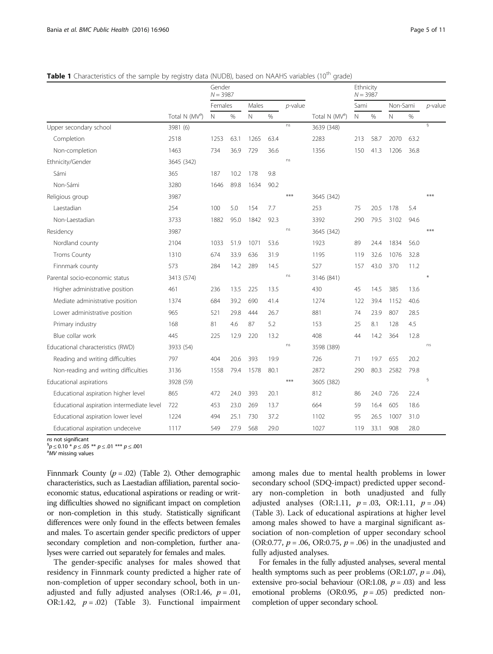|                                           |                            | Gender<br>$N = 3987$ |      |       |      |            |                            | Ethnicity<br>$N = 3987$ |      |          |      |                 |
|-------------------------------------------|----------------------------|----------------------|------|-------|------|------------|----------------------------|-------------------------|------|----------|------|-----------------|
|                                           |                            | Females              |      | Males |      | $p$ -value |                            | Sami                    |      | Non-Sami |      | $p$ -value      |
|                                           | Total N (MV <sup>a</sup> ) | N                    | %    | N     | $\%$ |            | Total N (MV <sup>a</sup> ) | N                       | $\%$ | N        | $\%$ |                 |
| Upper secondary school                    | 3981 (6)                   |                      |      |       |      | ns         | 3639 (348)                 |                         |      |          |      | $\overline{\S}$ |
| Completion                                | 2518                       | 1253                 | 63.1 | 1265  | 63.4 |            | 2283                       | 213                     | 58.7 | 2070     | 63.2 |                 |
| Non-completion                            | 1463                       | 734                  | 36.9 | 729   | 36.6 |            | 1356                       | 150                     | 41.3 | 1206     | 36.8 |                 |
| Ethnicity/Gender                          | 3645 (342)                 |                      |      |       |      | ns         |                            |                         |      |          |      |                 |
| Sámi                                      | 365                        | 187                  | 10.2 | 178   | 9.8  |            |                            |                         |      |          |      |                 |
| Non-Sámi                                  | 3280                       | 1646                 | 89.8 | 1634  | 90.2 |            |                            |                         |      |          |      |                 |
| Religious group                           | 3987                       |                      |      |       |      | ***        | 3645 (342)                 |                         |      |          |      | $***$           |
| Laestadian                                | 254                        | 100                  | 5.0  | 154   | 7.7  |            | 253                        | 75                      | 20.5 | 178      | 5.4  |                 |
| Non-Laestadian                            | 3733                       | 1882                 | 95.0 | 1842  | 92.3 |            | 3392                       | 290                     | 79.5 | 3102     | 94.6 |                 |
| Residency                                 | 3987                       |                      |      |       |      | ns         | 3645 (342)                 |                         |      |          |      | $***$           |
| Nordland county                           | 2104                       | 1033                 | 51.9 | 1071  | 53.6 |            | 1923                       | 89                      | 24.4 | 1834     | 56.0 |                 |
| <b>Troms County</b>                       | 1310                       | 674                  | 33.9 | 636   | 31.9 |            | 1195                       | 119                     | 32.6 | 1076     | 32.8 |                 |
| Finnmark county                           | 573                        | 284                  | 14.2 | 289   | 14.5 |            | 527                        | 157                     | 43.0 | 370      | 11.2 |                 |
| Parental socio-economic status            | 3413 (574)                 |                      |      |       |      | ns         | 3146 (841)                 |                         |      |          |      | $\ast$          |
| Higher administrative position            | 461                        | 236                  | 13.5 | 225   | 13.5 |            | 430                        | 45                      | 14.5 | 385      | 13.6 |                 |
| Mediate administrative position           | 1374                       | 684                  | 39.2 | 690   | 41.4 |            | 1274                       | 122                     | 39.4 | 1152     | 40.6 |                 |
| Lower administrative position             | 965                        | 521                  | 29.8 | 444   | 26.7 |            | 881                        | 74                      | 23.9 | 807      | 28.5 |                 |
| Primary industry                          | 168                        | 81                   | 4.6  | 87    | 5.2  |            | 153                        | 25                      | 8.1  | 128      | 4.5  |                 |
| Blue collar work                          | 445                        | 225                  | 12.9 | 220   | 13.2 |            | 408                        | 44                      | 14.2 | 364      | 12.8 |                 |
| Educational characteristics (RWD)         | 3933 (54)                  |                      |      |       |      | ns         | 3598 (389)                 |                         |      |          |      | ns              |
| Reading and writing difficulties          | 797                        | 404                  | 20.6 | 393   | 19.9 |            | 726                        | 71                      | 19.7 | 655      | 20.2 |                 |
| Non-reading and writing difficulties      | 3136                       | 1558                 | 79.4 | 1578  | 80.1 |            | 2872                       | 290                     | 80.3 | 2582     | 79.8 |                 |
| Educational aspirations                   | 3928 (59)                  |                      |      |       |      | $***$      | 3605 (382)                 |                         |      |          |      | $\S$            |
| Educational aspiration higher level       | 865                        | 472                  | 24.0 | 393   | 20.1 |            | 812                        | 86                      | 24.0 | 726      | 22.4 |                 |
| Educational aspiration intermediate level | 722                        | 453                  | 23.0 | 269   | 13.7 |            | 664                        | 59                      | 16.4 | 605      | 18.6 |                 |
| Educational aspiration lower level        | 1224                       | 494                  | 25.1 | 730   | 37.2 |            | 1102                       | 95                      | 26.5 | 1007     | 31.0 |                 |
| Educational aspiration undeceive          | 1117                       | 549                  | 27.9 | 568   | 29.0 |            | 1027                       | 119                     | 33.1 | 908      | 28.0 |                 |

<span id="page-4-0"></span>**Table 1** Characteristics of the sample by registry data (NUDB), based on NAAHS variables (10<sup>th</sup> grade)

ns not significant

 ${}^{6}p$   $\leq$  0.10  $*$   $p$   $\leq$  .05  $**$   $p$   $\leq$  .01  $***$   $p$   $\leq$  .001

<sup>a</sup>MV missing values

Finnmark County  $(p=.02)$  (Table [2](#page-5-0)). Other demographic characteristics, such as Laestadian affiliation, parental socioeconomic status, educational aspirations or reading or writing difficulties showed no significant impact on completion or non-completion in this study. Statistically significant differences were only found in the effects between females and males. To ascertain gender specific predictors of upper secondary completion and non-completion, further analyses were carried out separately for females and males.

The gender-specific analyses for males showed that residency in Finnmark county predicted a higher rate of non-completion of upper secondary school, both in unadjusted and fully adjusted analyses (OR:1.46,  $p = .01$ , OR:1.42,  $p = .02$ ) (Table [3](#page-6-0)). Functional impairment

among males due to mental health problems in lower secondary school (SDQ-impact) predicted upper secondary non-completion in both unadjusted and fully adjusted analyses (OR:1.11,  $p = .03$ , OR:1.11,  $p = .04$ ) (Table [3](#page-6-0)). Lack of educational aspirations at higher level among males showed to have a marginal significant association of non-completion of upper secondary school (OR:0.77,  $p = .06$ , OR:0.75,  $p = .06$ ) in the unadjusted and fully adjusted analyses.

For females in the fully adjusted analyses, several mental health symptoms such as peer problems (OR:1.07,  $p = .04$ ), extensive pro-social behaviour (OR:1.08,  $p = .03$ ) and less emotional problems (OR:0.95,  $p = .05$ ) predicted noncompletion of upper secondary school.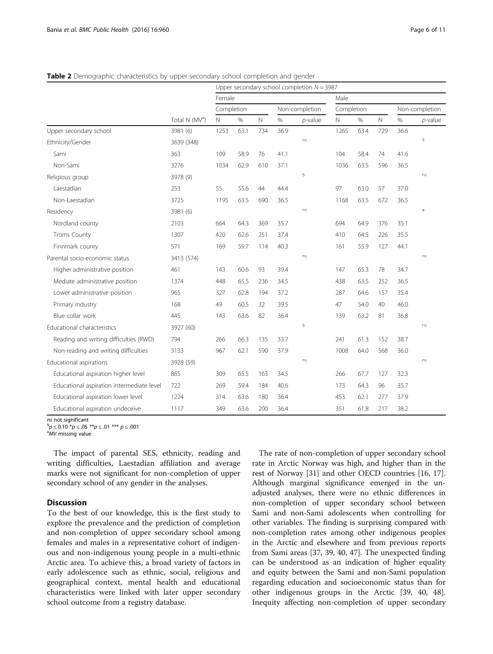|                                           |                            | Upper secondary school completion $N = 3987$ |      |                |      |             |      |      |                |      |            |  |
|-------------------------------------------|----------------------------|----------------------------------------------|------|----------------|------|-------------|------|------|----------------|------|------------|--|
|                                           | Total N (MV <sup>a</sup> ) | Female                                       |      |                | Male |             |      |      |                |      |            |  |
|                                           |                            | Completion                                   |      | Non-completion |      | Completion  |      |      | Non-completion |      |            |  |
|                                           |                            | $\hbox{N}$                                   | $\%$ | $\mathbb N$    | $\%$ | $p$ -value  | N    | %    | $\mathsf{N}$   | $\%$ | $p$ -value |  |
| Upper secondary school                    | 3981 (6)                   | 1253                                         | 63.1 | 734            | 36.9 |             | 1265 | 63.4 | 729            | 36.6 |            |  |
| Ethnicity/Gender                          | 3639 (348)                 |                                              |      |                |      | ns          |      |      |                |      | $\S$       |  |
| Sami                                      | 363                        | 109                                          | 58.9 | 76             | 41.1 |             | 104  | 58.4 | 74             | 41.6 |            |  |
| Non-Sami                                  | 3276                       | 1034                                         | 62.9 | 610            | 37.1 |             | 1036 | 63.5 | 596            | 36.5 |            |  |
| Religious group                           | 3978 (9)                   |                                              |      |                |      | $\S$        |      |      |                |      | ns         |  |
| Laestadian                                | 253                        | 55                                           | 55.6 | 44             | 44.4 |             | 97   | 63.0 | 57             | 37.0 |            |  |
| Non-Laestadian                            | 3725                       | 1195                                         | 63.5 | 690            | 36.5 |             | 1168 | 63.5 | 672            | 36.5 |            |  |
| Residency                                 | 3981 (6)                   |                                              |      |                |      | ns          |      |      |                |      | $\ast$     |  |
| Nordland county                           | 2103                       | 664                                          | 64.3 | 369            | 35.7 |             | 694  | 64.9 | 376            | 35.1 |            |  |
| <b>Troms County</b>                       | 1307                       | 420                                          | 62.6 | 251            | 37.4 |             | 410  | 64.5 | 226            | 35.5 |            |  |
| Finnmark county                           | 571                        | 169                                          | 59.7 | 114            | 40.3 |             | 161  | 55.9 | 127            | 44.1 |            |  |
| Parental socio-economic status            | 3413 (574)                 |                                              |      |                |      | ns          |      |      |                |      | ns         |  |
| Higher administrative position            | 461                        | 143                                          | 60.6 | 93             | 39.4 |             | 147  | 65.3 | 78             | 34.7 |            |  |
| Mediate administrative position           | 1374                       | 448                                          | 65.5 | 236            | 34.5 |             | 438  | 63.5 | 252            | 36.5 |            |  |
| Lower administrative position             | 965                        | 327                                          | 62.8 | 194            | 37.2 |             | 287  | 64.6 | 157            | 35.4 |            |  |
| Primary industry                          | 168                        | 49                                           | 60.5 | 32             | 39.5 |             | 47   | 54.0 | 40             | 46.0 |            |  |
| Blue collar work                          | 445                        | 143                                          | 63.6 | 82             | 36.4 |             | 139  | 63.2 | 81             | 36.8 |            |  |
| Educational characteristics               | 3927 (60)                  |                                              |      |                |      | $\mathbb S$ |      |      |                |      | ns         |  |
| Reading and writing difficulties (RWD)    | 794                        | 266                                          | 66.3 | 135            | 33.7 |             | 241  | 61.3 | 152            | 38.7 |            |  |
| Non-reading and writing difficulties      | 3133                       | 967                                          | 62.1 | 590            | 37.9 |             | 1008 | 64.0 | 568            | 36.0 |            |  |
| Educational aspirations                   | 3928 (59)                  |                                              |      |                |      | ns          |      |      |                |      | ns         |  |
| Educational aspiration higher level       | 865                        | 309                                          | 65.5 | 163            | 34.5 |             | 266  | 67.7 | 127            | 32.3 |            |  |
| Educational aspiration intermediate level | 722                        | 269                                          | 59.4 | 184            | 40.6 |             | 173  | 64.3 | 96             | 35.7 |            |  |
| Educational aspiration lower level        | 1224                       | 314                                          | 63.6 | 180            | 36.4 |             | 453  | 62.1 | 277            | 37.9 |            |  |
| Educational aspiration undeceive          | 1117                       | 349                                          | 63.6 | 200            | 36.4 |             | 351  | 61.8 | 217            | 38.2 |            |  |

<span id="page-5-0"></span>Table 2 Demographic characteristics by upper secondary school completion and gender

ns not significant

 ${}^{6}p$   $\leq$  0.10  ${}^{*}p$   $\leq$  .05  ${}^{**}p$   $\leq$  .01  ${}^{***}p$   $\leq$  .001

<sup>a</sup>MV missing value

The impact of parental SES, ethnicity, reading and writing difficulties, Laestadian affiliation and average marks were not significant for non-completion of upper secondary school of any gender in the analyses.

## **Discussion**

To the best of our knowledge, this is the first study to explore the prevalence and the prediction of completion and non-completion of upper secondary school among females and males in a representative cohort of indigenous and non-indigenous young people in a multi-ethnic Arctic area. To achieve this, a broad variety of factors in early adolescence such as ethnic, social, religious and geographical context, mental health and educational characteristics were linked with later upper secondary school outcome from a registry database.

The rate of non-completion of upper secondary school rate in Arctic Norway was high, and higher than in the rest of Norway [\[31\]](#page-9-0) and other OECD countries [\[16, 17](#page-9-0)]. Although marginal significance emerged in the unadjusted analyses, there were no ethnic differences in non-completion of upper secondary school between Sami and non-Sami adolescents when controlling for other variables. The finding is surprising compared with non-completion rates among other indigenous peoples in the Arctic and elsewhere and from previous reports from Sami areas [[37](#page-9-0), [39,](#page-9-0) [40](#page-10-0), [47](#page-10-0)]. The unexpected finding can be understood as an indication of higher equality and equity between the Sami and non-Sami population regarding education and socioeconomic status than for other indigenous groups in the Arctic [[39](#page-9-0), [40, 48](#page-10-0)]. Inequity affecting non-completion of upper secondary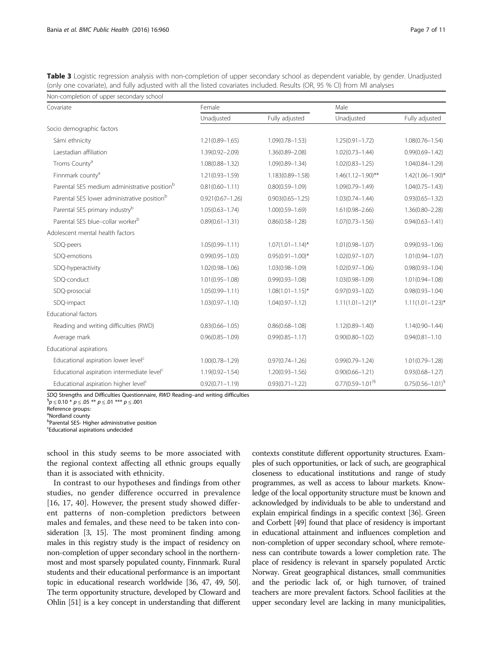<span id="page-6-0"></span>Table 3 Logistic regression analysis with non-completion of upper secondary school as dependent variable, by gender. Unadjusted (only one covariate), and fully adjusted with all the listed covariates included. Results (OR, 95 % CI) from MI analyses

| Non-completion of upper secondary school                 |                      |                         |                        |                         |  |  |  |  |  |
|----------------------------------------------------------|----------------------|-------------------------|------------------------|-------------------------|--|--|--|--|--|
| Covariate                                                | Female               |                         | Male                   |                         |  |  |  |  |  |
|                                                          | Unadjusted           | Fully adjusted          | Unadjusted             | Fully adjusted          |  |  |  |  |  |
| Socio demographic factors                                |                      |                         |                        |                         |  |  |  |  |  |
| Sámi ethnicity                                           | $1.21(0.89 - 1.65)$  | $1.09(0.78 - 1.53)$     | $1.25(0.91 - 1.72)$    | $1.08(0.76 - 1.54)$     |  |  |  |  |  |
| Laestadian affiliation                                   | $1.39(0.92 - 2.09)$  | $1.36(0.89 - 2.08)$     | $1.02(0.73 - 1.44)$    | $0.99(0.69 - 1.42)$     |  |  |  |  |  |
| Troms County <sup>a</sup>                                | $1.08(0.88 - 1.32)$  | $1.09(0.89 - 1.34)$     | $1.02(0.83 - 1.25)$    | $1.04(0.84 - 1.29)$     |  |  |  |  |  |
| Finnmark county <sup>a</sup>                             | $1.21(0.93 - 1.59)$  | 1.183(0.89-1.58)        | $1.46(1.12 - 1.90)$ ** | $1.42(1.06 - 1.90)^{*}$ |  |  |  |  |  |
| Parental SES medium administrative position <sup>b</sup> | $0.81(0.60 - 1.11)$  | $0.80(0.59 - 1.09)$     | $1.09(0.79 - 1.49)$    | $1.04(0.75 - 1.43)$     |  |  |  |  |  |
| Parental SES lower administrative position <sup>b</sup>  | $0.921(0.67 - 1.26)$ | $0.903(0.65 - 1.25)$    | $1.03(0.74 - 1.44)$    | $0.93(0.65 - 1.32)$     |  |  |  |  |  |
| Parental SES primary industry <sup>b</sup>               | $1.05(0.63 - 1.74)$  | $1.00(0.59 - 1.69)$     | $1.61(0.98 - 2.66)$    | $1.36(0.80 - 2.28)$     |  |  |  |  |  |
| Parental SES blue-collar workerb                         | $0.89(0.61 - 1.31)$  | $0.86(0.58 - 1.28)$     | $1.07(0.73 - 1.56)$    | $0.94(0.63 - 1.41)$     |  |  |  |  |  |
| Adolescent mental health factors                         |                      |                         |                        |                         |  |  |  |  |  |
| SDQ-peers                                                | $1.05(0.99 - 1.11)$  | $1.07(1.01 - 1.14)^{*}$ | $1.01(0.98 - 1.07)$    | $0.99(0.93 - 1.06)$     |  |  |  |  |  |
| SDQ-emotions                                             | $0.99(0.95 - 1.03)$  | $0.95(0.91 - 1.00)^*$   | $1.02(0.97 - 1.07)$    | $1.01(0.94 - 1.07)$     |  |  |  |  |  |
| SDQ-hyperactivity                                        | $1.02(0.98 - 1.06)$  | $1.03(0.98 - 1.09)$     | $1.02(0.97 - 1.06)$    | $0.98(0.93 - 1.04)$     |  |  |  |  |  |
| SDQ-conduct                                              | $1.01(0.95 - 1.08)$  | $0.99(0.93 - 1.08)$     | $1.03(0.98 - 1.09)$    | $1.01(0.94 - 1.08)$     |  |  |  |  |  |
| SDQ-prosocial                                            | $1.05(0.99 - 1.11)$  | $1.08(1.01 - 1.15)^*$   | $0.97(0.93 - 1.02)$    | $0.98(0.93 - 1.04)$     |  |  |  |  |  |
| SDQ-impact                                               | $1.03(0.97 - 1.10)$  | $1.04(0.97 - 1.12)$     | $1.11(1.01 - 1.21)^*$  | $1.11(1.01 - 1.23)^*$   |  |  |  |  |  |
| Educational factors                                      |                      |                         |                        |                         |  |  |  |  |  |
| Reading and writing difficulties (RWD)                   | $0.83(0.66 - 1.05)$  | $0.86(0.68 - 1.08)$     | $1.12(0.89 - 1.40)$    | $1.14(0.90 - 1.44)$     |  |  |  |  |  |
| Average mark                                             | $0.96(0.85 - 1.09)$  | $0.99(0.85 - 1.17)$     | $0.90(0.80 - 1.02)$    | $0.94(0.81 - 1.10)$     |  |  |  |  |  |
| Educational aspirations                                  |                      |                         |                        |                         |  |  |  |  |  |
| Educational aspiration lower level <sup>c</sup>          | $1.00(0.78 - 1.29)$  | $0.97(0.74 - 1.26)$     | $0.99(0.79 - 1.24)$    | $1.01(0.79 - 1.28)$     |  |  |  |  |  |
| Educational aspiration intermediate level <sup>c</sup>   | $1.19(0.92 - 1.54)$  | $1.20(0.93 - 1.56)$     | $0.90(0.66 - 1.21)$    | $0.93(0.68 - 1.27)$     |  |  |  |  |  |
| Educational aspiration higher level <sup>c</sup>         | $0.92(0.71 - 1.19)$  | $0.93(0.71 - 1.22)$     | $0.77(0.59 - 1.01)^9$  | $0.75(0.56 - 1.01)^9$   |  |  |  |  |  |

SDQ Strengths and Difficulties Questionnaire, RWD Reading–and writing difficulties

 ${}^{6}p$   $\leq$  0.10  $*$   $p$   $\leq$  .05  $**$   $p$   $\leq$  .01  $***$   $p$   $\leq$  .001

Reference groups:

<sup>a</sup>Nordland county

b Parental SES- Higher administrative position

c Educational aspirations undecided

school in this study seems to be more associated with the regional context affecting all ethnic groups equally than it is associated with ethnicity.

In contrast to our hypotheses and findings from other studies, no gender difference occurred in prevalence [[16, 17,](#page-9-0) [40\]](#page-10-0). However, the present study showed different patterns of non-completion predictors between males and females, and these need to be taken into consideration [[3, 15\]](#page-9-0). The most prominent finding among males in this registry study is the impact of residency on non-completion of upper secondary school in the northernmost and most sparsely populated county, Finnmark. Rural students and their educational performance is an important topic in educational research worldwide [\[36](#page-9-0), [47](#page-10-0), [49](#page-10-0), [50](#page-10-0)]. The term opportunity structure, developed by Cloward and Ohlin [[51\]](#page-10-0) is a key concept in understanding that different contexts constitute different opportunity structures. Examples of such opportunities, or lack of such, are geographical closeness to educational institutions and range of study programmes, as well as access to labour markets. Knowledge of the local opportunity structure must be known and acknowledged by individuals to be able to understand and explain empirical findings in a specific context [\[36\]](#page-9-0). Green and Corbett [\[49](#page-10-0)] found that place of residency is important in educational attainment and influences completion and non-completion of upper secondary school, where remoteness can contribute towards a lower completion rate. The place of residency is relevant in sparsely populated Arctic Norway. Great geographical distances, small communities and the periodic lack of, or high turnover, of trained teachers are more prevalent factors. School facilities at the upper secondary level are lacking in many municipalities,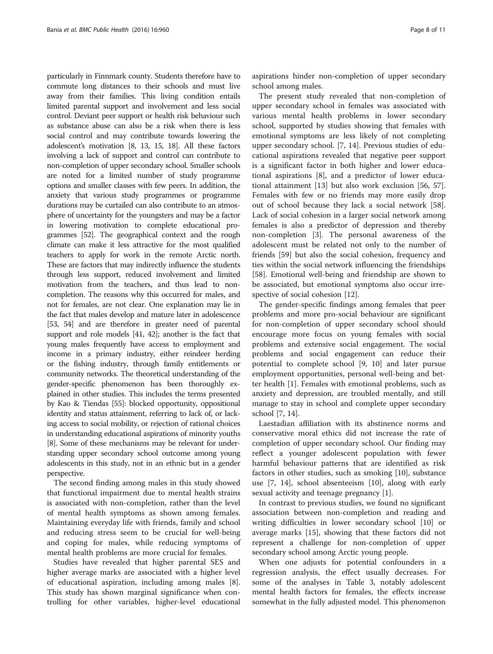particularly in Finnmark county. Students therefore have to commute long distances to their schools and must live away from their families. This living condition entails limited parental support and involvement and less social control. Deviant peer support or health risk behaviour such as substance abuse can also be a risk when there is less social control and may contribute towards lowering the adolescent's motivation [\[8, 13](#page-9-0), [15, 18](#page-9-0)]. All these factors involving a lack of support and control can contribute to non-completion of upper secondary school. Smaller schools are noted for a limited number of study programme options and smaller classes with few peers. In addition, the anxiety that various study programmes or programme durations may be curtailed can also contribute to an atmosphere of uncertainty for the youngsters and may be a factor in lowering motivation to complete educational programmes [\[52](#page-10-0)]. The geographical context and the rough climate can make it less attractive for the most qualified teachers to apply for work in the remote Arctic north. These are factors that may indirectly influence the students through less support, reduced involvement and limited motivation from the teachers, and thus lead to noncompletion. The reasons why this occurred for males, and not for females, are not clear. One explanation may lie in the fact that males develop and mature later in adolescence [[53](#page-10-0), [54](#page-10-0)] and are therefore in greater need of parental support and role models [\[41, 42\]](#page-10-0); another is the fact that young males frequently have access to employment and income in a primary industry, either reindeer herding or the fishing industry, through family entitlements or community networks. The theoretical understanding of the gender-specific phenomenon has been thoroughly explained in other studies. This includes the terms presented by Kao & Tiendas [\[55](#page-10-0)]: blocked opportunity, oppositional identity and status attainment, referring to lack of, or lacking access to social mobility, or rejection of rational choices in understanding educational aspirations of minority youths [[8](#page-9-0)]. Some of these mechanisms may be relevant for understanding upper secondary school outcome among young adolescents in this study, not in an ethnic but in a gender perspective.

The second finding among males in this study showed that functional impairment due to mental health strains is associated with non-completion, rather than the level of mental health symptoms as shown among females. Maintaining everyday life with friends, family and school and reducing stress seem to be crucial for well-being and coping for males, while reducing symptoms of mental health problems are more crucial for females.

Studies have revealed that higher parental SES and higher average marks are associated with a higher level of educational aspiration, including among males [\[8](#page-9-0)]. This study has shown marginal significance when controlling for other variables, higher-level educational aspirations hinder non-completion of upper secondary school among males.

The present study revealed that non-completion of upper secondary school in females was associated with various mental health problems in lower secondary school, supported by studies showing that females with emotional symptoms are less likely of not completing upper secondary school. [[7, 14\]](#page-9-0). Previous studies of educational aspirations revealed that negative peer support is a significant factor in both higher and lower educational aspirations [[8\]](#page-9-0), and a predictor of lower educational attainment [\[13](#page-9-0)] but also work exclusion [[56](#page-10-0), [57](#page-10-0)]. Females with few or no friends may more easily drop out of school because they lack a social network [\[58](#page-10-0)]. Lack of social cohesion in a larger social network among females is also a predictor of depression and thereby non-completion [[3](#page-9-0)]. The personal awareness of the adolescent must be related not only to the number of friends [[59\]](#page-10-0) but also the social cohesion, frequency and ties within the social network influencing the friendships [[58\]](#page-10-0). Emotional well-being and friendship are shown to be associated, but emotional symptoms also occur irre-spective of social cohesion [\[12\]](#page-9-0).

The gender-specific findings among females that peer problems and more pro-social behaviour are significant for non-completion of upper secondary school should encourage more focus on young females with social problems and extensive social engagement. The social problems and social engagement can reduce their potential to complete school [[9, 10\]](#page-9-0) and later pursue employment opportunities, personal well-being and better health [[1](#page-9-0)]. Females with emotional problems, such as anxiety and depression, are troubled mentally, and still manage to stay in school and complete upper secondary school [\[7, 14\]](#page-9-0).

Laestadian affiliation with its abstinence norms and conservative moral ethics did not increase the rate of completion of upper secondary school. Our finding may reflect a younger adolescent population with fewer harmful behaviour patterns that are identified as risk factors in other studies, such as smoking [\[10](#page-9-0)], substance use [[7](#page-9-0), [14\]](#page-9-0), school absenteeism [\[10](#page-9-0)], along with early sexual activity and teenage pregnancy [[1\]](#page-9-0).

In contrast to previous studies, we found no significant association between non-completion and reading and writing difficulties in lower secondary school [\[10\]](#page-9-0) or average marks [\[15\]](#page-9-0), showing that these factors did not represent a challenge for non-completion of upper secondary school among Arctic young people.

When one adjusts for potential confounders in a regression analysis, the effect usually decreases. For some of the analyses in Table [3](#page-6-0), notably adolescent mental health factors for females, the effects increase somewhat in the fully adjusted model. This phenomenon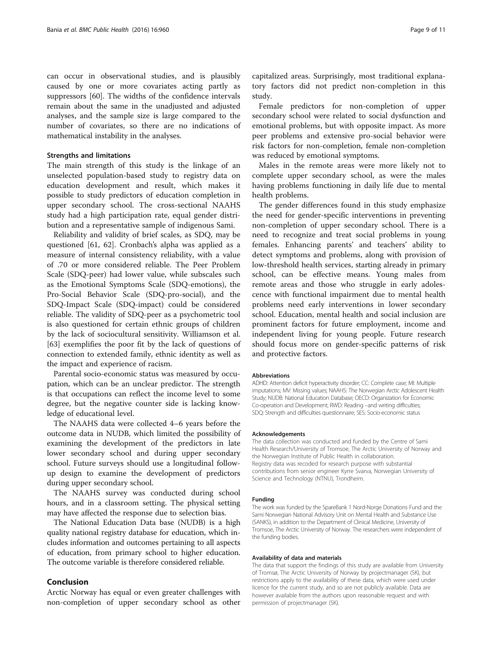can occur in observational studies, and is plausibly caused by one or more covariates acting partly as suppressors [\[60\]](#page-10-0). The widths of the confidence intervals remain about the same in the unadjusted and adjusted analyses, and the sample size is large compared to the number of covariates, so there are no indications of mathematical instability in the analyses.

#### Strengths and limitations

The main strength of this study is the linkage of an unselected population-based study to registry data on education development and result, which makes it possible to study predictors of education completion in upper secondary school. The cross-sectional NAAHS study had a high participation rate, equal gender distribution and a representative sample of indigenous Sami.

Reliability and validity of brief scales, as SDQ, may be questioned [[61, 62\]](#page-10-0). Cronbach's alpha was applied as a measure of internal consistency reliability, with a value of .70 or more considered reliable. The Peer Problem Scale (SDQ-peer) had lower value, while subscales such as the Emotional Symptoms Scale (SDQ-emotions), the Pro-Social Behavior Scale (SDQ-pro-social), and the SDQ-Impact Scale (SDQ-impact) could be considered reliable. The validity of SDQ-peer as a psychometric tool is also questioned for certain ethnic groups of children by the lack of sociocultural sensitivity. Williamson et al. [[63\]](#page-10-0) exemplifies the poor fit by the lack of questions of connection to extended family, ethnic identity as well as the impact and experience of racism.

Parental socio-economic status was measured by occupation, which can be an unclear predictor. The strength is that occupations can reflect the income level to some degree, but the negative counter side is lacking knowledge of educational level.

The NAAHS data were collected 4–6 years before the outcome data in NUDB, which limited the possibility of examining the development of the predictors in late lower secondary school and during upper secondary school. Future surveys should use a longitudinal followup design to examine the development of predictors during upper secondary school.

The NAAHS survey was conducted during school hours, and in a classroom setting. The physical setting may have affected the response due to selection bias.

The National Education Data base (NUDB) is a high quality national registry database for education, which includes information and outcomes pertaining to all aspects of education, from primary school to higher education. The outcome variable is therefore considered reliable.

## Conclusion

Arctic Norway has equal or even greater challenges with non-completion of upper secondary school as other

capitalized areas. Surprisingly, most traditional explanatory factors did not predict non-completion in this study.

Female predictors for non-completion of upper secondary school were related to social dysfunction and emotional problems, but with opposite impact. As more peer problems and extensive pro-social behavior were risk factors for non-completion, female non-completion was reduced by emotional symptoms.

Males in the remote areas were more likely not to complete upper secondary school, as were the males having problems functioning in daily life due to mental health problems.

The gender differences found in this study emphasize the need for gender-specific interventions in preventing non-completion of upper secondary school. There is a need to recognize and treat social problems in young females. Enhancing parents' and teachers' ability to detect symptoms and problems, along with provision of low-threshold health services, starting already in primary school, can be effective means. Young males from remote areas and those who struggle in early adolescence with functional impairment due to mental health problems need early interventions in lower secondary school. Education, mental health and social inclusion are prominent factors for future employment, income and independent living for young people. Future research should focus more on gender-specific patterns of risk and protective factors.

#### Abbreviations

ADHD: Attention deficit hyperactivity disorder; CC: Complete case; MI: Multiple imputations; MV: Missing values; NAAHS: The Norwegian Arctic Adolescent Health Study; NUDB: National Education Database; OECD: Organization for Economic Co-operation and Development; RWD: Reading –and writing difficulties; SDQ: Strength and difficulties questionnaire; SES: Socio-economic status

#### Acknowledgements

The data collection was conducted and funded by the Centre of Sami Health Research/University of Tromsoe, The Arctic University of Norway and the Norwegian Institute of Public Health in collaboration. Registry data was recoded for research purpose with substantial contributions from senior engineer Kyrre Svarva, Norwegian University of Science and Technology (NTNU), Trondheim.

#### Funding

The work was funded by the SpareBank 1 Nord-Norge Donations Fund and the Sami Norwegian National Advisory Unit on Mental Health and Substance Use (SANKS), in addition to the Department of Clinical Medicine, University of Tromsoe, The Arctic University of Norway. The researchers were independent of the funding bodies.

#### Availability of data and materials

The data that support the findings of this study are available from University of Tromsø, The Arctic University of Norway by projectmanager (SK), but restrictions apply to the availability of these data, which were used under licence for the current study, and so are not publicly available. Data are however available from the authors upon reasonable request and with permission of projectmanager (SK).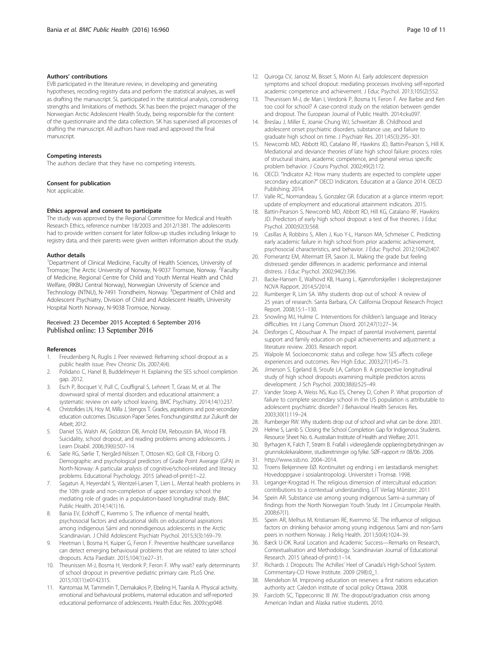### <span id="page-9-0"></span>Authors' contributions

EVB participated in the literature review, in developing and generating hypotheses, recoding registry data and perform the statistical analyses, as well as drafting the manuscript. SL participated in the statistical analysis, considering strengths and limitations of methods. SK has been the project manager of the Norwegian Arctic Adolescent Health Study, being responsible for the content of the questionnaire and the data collection. SK has supervised all processes of drafting the manuscript. All authors have read and approved the final manuscript.

#### Competing interests

The authors declare that they have no competing interests.

#### Consent for publication

Not applicable.

#### Ethics approval and consent to participate

The study was approved by the Regional Committee for Medical and Health Research Ethics, reference number 18/2003 and 2012/1381. The adolescents had to provide written consent for later follow-up studies including linkage to registry data, and their parents were given written information about the study.

#### Author details

<sup>1</sup>Department of Clinical Medicine, Faculty of Health Sciences, University of Tromsoe; The Arctic University of Norway, N-9037 Tromsoe, Norway. <sup>2</sup>Faculty of Medicine, Regional Centre for Child and Youth Mental Health and Child Welfare, (RKBU Central Norway), Norwegian University of Science and Technology (NTNU), N-7491 Trondheim, Norway. <sup>3</sup>Department of Child and Adolescent Psychiatry, Division of Child and Adolescent Health, University Hospital North Norway, N-9038 Tromsoe, Norway.

#### Received: 23 December 2015 Accepted: 6 September 2016 Published online: 13 September 2016

#### References

- 1. Freudenberg N, Ruglis J. Peer reviewed: Reframing school dropout as a public health issue. Prev Chronic Dis. 2007;4(4).
- 2. Polidano C, Hanel B, Buddelmeyer H. Explaining the SES school completion gap. 2012.
- 3. Esch P, Bocquet V, Pull C, Couffignal S, Lehnert T, Graas M, et al. The downward spiral of mental disorders and educational attainment: a systematic review on early school leaving. BMC Psychiatry. 2014;14(1):237.
- 4. Christofides LN, Hoy M, Milla J, Stengos T. Grades, aspirations and post-secondary education outcomes. Discussion Paper Series. Forschungsinstitut zur Zukunft der Arbeit; 2012.
- 5. Daniel SS, Walsh AK, Goldston DB, Arnold EM, Reboussin BA, Wood FB. Suicidality, school dropout, and reading problems among adolescents. J Learn Disabil. 2006;39(6):507–14.
- 6. Sæle RG, Sørlie T, Nergård-Nilssen T, Ottosen KO, Goll CB, Friborg O. Demographic and psychological predictors of Grade Point Average (GPA) in North-Norway: A particular analysis of cognitive/school-related and literacy problems. Educational Psychology. 2015 (ahead-of-print):1–22.
- Sagatun A, Heyerdahl S, Wentzel-Larsen T, Lien L. Mental health problems in the 10th grade and non-completion of upper secondary school: the mediating role of grades in a population-based longitudinal study. BMC Public Health. 2014;14(1):16.
- Bania EV, Eckhoff C, Kvernmo S. The influence of mental health, psychosocial factors and educational skills on educational aspirations among indigenous Sámi and nonindigenous adolescents in the Arctic Scandinavian. J Child Adolescent Psychiatr Psychol. 2015;3(3):169–79.
- 9. Heetman I, Bosma H, Kuiper G, Feron F. Preventive healthcare surveillance can detect emerging behavioural problems that are related to later school dropouts. Acta Paediatr. 2015;104(1):e27–31.
- 10. Theunissen M-J, Bosma H, Verdonk P, Feron F. Why wait? early determinants of school dropout in preventive pediatric primary care. PLoS One. 2015;10(11):e0142315.
- 11. Kantomaa M, Tammelin T, Demakakos P, Ebeling H, Taanila A. Physical activity, emotional and behavioural problems, maternal education and self-reported educational performance of adolescents. Health Educ Res. 2009:cyp048.
- 12. Quiroga CV, Janosz M, Bisset S, Morin AJ. Early adolescent depression symptoms and school dropout: mediating processes involving self-reported academic competence and achievement. J Educ Psychol. 2013;105(2):552.
- 13. Theunissen M-J, de Man I, Verdonk P, Bosma H, Feron F. Are Barbie and Ken too cool for school? A case-control study on the relation between gender and dropout. The European Journal of Public Health. 2014:cku097.
- 14. Breslau J, Miller E, Joanie Chung WJ, Schweitzer JB. Childhood and adolescent onset psychiatric disorders, substance use, and failure to graduate high school on time. J Psychiatr Res. 2011;45(3):295–301.
- 15. Newcomb MD, Abbott RD, Catalano RF, Hawkins JD, Battin-Pearson S, Hill K. Mediational and deviance theories of late high school failure: process roles of structural strains, academic competence, and general versus specific problem behavior. J Couns Psychol. 2002;49(2):172.
- 16. OECD. "Indicator A2: How many students are expected to complete upper secondary education?" OECD Indicators. Education at a Glance 2014. OECD Publishing; 2014.
- 17. Valle RC, Normandeau S, Gonzalez GR. Education at a glance interim report: update of employment and educational attainment indicators. 2015.
- 18. Battin-Pearson S, Newcomb MD, Abbott RD, Hill KG, Catalano RF, Hawkins JD. Predictors of early high school dropout: a test of five theories. J Educ Psychol. 2000;92(3):568.
- 19. Casillas A, Robbins S, Allen J, Kuo Y-L, Hanson MA, Schmeiser C. Predicting early academic failure in high school from prior academic achievement, psychosocial characteristics, and behavior. J Educ Psychol. 2012;104(2):407.
- 20. Pomerantz EM, Altermatt ER, Saxon JL. Making the grade but feeling distressed: gender differences in academic performance and internal distress. J Educ Psychol. 2002;94(2):396.
- 21. Backe-Hansen E, Walhovd KB, Huang L. Kjønnsforskjeller i skoleprestasjoner NOVA Rapport. 2014;5/2014.
- Rumberger R, Lim SA. Why students drop out of school: A review of 25 years of research. Santa Barbara, CA: California Dropout Research Project Report. 2008;15:1–130.
- 23. Snowling MJ, Hulme C. Interventions for children's language and literacy difficulties. Int J Lang Commun Disord. 2012;47(1):27–34.
- 24. Desforges C, Abouchaar A. The impact of parental involvement, parental support and family education on pupil achievements and adjustment: a literature review. 2003. Research report.
- 25. Walpole M. Socioeconomic status and college: how SES affects college experiences and outcomes. Rev High Educ. 2003;27(1):45–73.
- 26. Jimerson S, Egeland B, Sroufe LA, Carlson B. A prospective longitudinal study of high school dropouts examining multiple predictors across development. J Sch Psychol. 2000;38(6):525–49.
- 27. Vander Stoep A, Weiss NS, Kuo ES, Cheney D, Cohen P. What proportion of failure to complete secondary school in the US population is attributable to adolescent psychiatric disorder? J Behavioral Health Services Res. 2003;30(1):119–24.
- 28. Rumberger RW. Why students drop out of school and what can be done. 2001.
- 29. Helme S, Lamb S. Closing the School Completion Gap for Indigenous Students. Resource Sheet No. 6. Australian Institute of Health and Welfare; 2011.
- 30. Byrhagen K, Falch T, Strøm B. Frafall i videregående opplæring:betydningen av grunnskolekarakterer, studieretninger og fylke. SØF-rapport nr 08/06. 2006.
- 31.<http://www.ssb.no>. 2004–2014. 32. Troens Bekjennere EØ. Kontinuitet og endring i en læstadiansk menighet: Hovedoppgave i sosialantropologi. Universitet i Tromsø. 1998.
- 33. Leganger-Krogstad H. The religious dimension of intercultural education: contributions to a contextual understanding. LIT Verlag Münster; 2011
- 34. Spein AR. Substance use among young indigenous Sami–a summary of findings from the North Norwegian Youth Study. Int J Circumpolar Health. 2008;67(1).
- 35. Spein AR, Melhus M, Kristiansen RE, Kvernmo SE. The influence of religious factors on drinking behavior among young indigenous Sami and non-Sami peers in northern Norway. J Relig Health. 2011;50(4):1024–39.
- 36. Bæck U-DK. Rural Location and Academic Success—Remarks on Research, Contextualisation and Methodology. Scandinavian Journal of Educational Research. 2015 (ahead-of-print):1–14.
- 37. Richards J. Dropouts: The Achilles' Heel of Canada's High-School System. Commentary-CD Howe Institute. 2009 (298):0\_1.
- 38. Mendelson M. Improving education on reserves: a first nations education authority act: Caledon institute of social policy Ottawa. 2008.
- 39. Faircloth SC, Tippeconnic III JW. The dropout/graduation crisis among American Indian and Alaska native students. 2010.